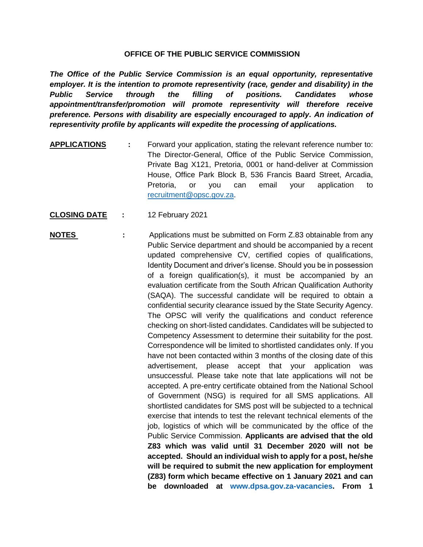## **OFFICE OF THE PUBLIC SERVICE COMMISSION**

*The Office of the Public Service Commission is an equal opportunity, representative employer. It is the intention to promote representivity (race, gender and disability) in the Public Service through the filling of positions. Candidates whose appointment/transfer/promotion will promote representivity will therefore receive preference. Persons with disability are especially encouraged to apply. An indication of representivity profile by applicants will expedite the processing of applications.*

- **APPLICATIONS :** Forward your application, stating the relevant reference number to: The Director-General, Office of the Public Service Commission, Private Bag X121, Pretoria, 0001 or hand-deliver at Commission House, Office Park Block B, 536 Francis Baard Street, Arcadia, Pretoria, or you can email your application to [recruitment@opsc.gov.za.](mailto:recruitment@opsc.gov.za)
- **CLOSING DATE :** 12 February 2021
- **NOTES** : Applications must be submitted on Form Z.83 obtainable from any Public Service department and should be accompanied by a recent updated comprehensive CV, certified copies of qualifications, Identity Document and driver's license. Should you be in possession of a foreign qualification(s), it must be accompanied by an evaluation certificate from the South African Qualification Authority (SAQA). The successful candidate will be required to obtain a confidential security clearance issued by the State Security Agency. The OPSC will verify the qualifications and conduct reference checking on short-listed candidates. Candidates will be subjected to Competency Assessment to determine their suitability for the post. Correspondence will be limited to shortlisted candidates only. If you have not been contacted within 3 months of the closing date of this advertisement, please accept that your application was unsuccessful. Please take note that late applications will not be accepted. A pre-entry certificate obtained from the National School of Government (NSG) is required for all SMS applications. All shortlisted candidates for SMS post will be subjected to a technical exercise that intends to test the relevant technical elements of the job, logistics of which will be communicated by the office of the Public Service Commission. **Applicants are advised that the old Z83 which was valid until 31 December 2020 will not be accepted. Should an individual wish to apply for a post, he/she will be required to submit the new application for employment (Z83) form which became effective on 1 January 2021 and can be downloaded at [www.dpsa.gov.za-vacancies.](http://www.dpsa.gov.za-vacancies/) From 1**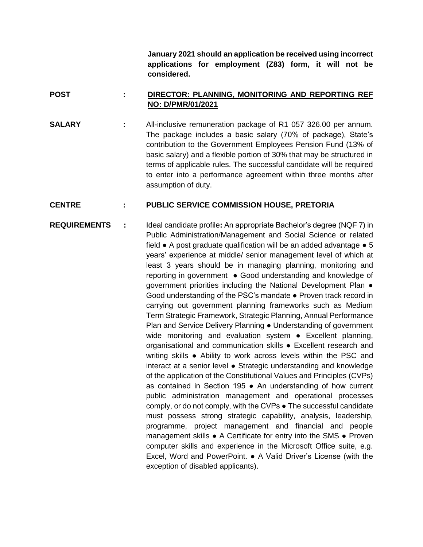**January 2021 should an application be received using incorrect applications for employment (Z83) form, it will not be considered.**

## **POST : DIRECTOR: PLANNING, MONITORING AND REPORTING REF NO: D/PMR/01/2021**

**SALARY :** All-inclusive remuneration package of R1 057 326.00 per annum. The package includes a basic salary (70% of package), State's contribution to the Government Employees Pension Fund (13% of basic salary) and a flexible portion of 30% that may be structured in terms of applicable rules. The successful candidate will be required to enter into a performance agreement within three months after assumption of duty.

## **CENTRE : PUBLIC SERVICE COMMISSION HOUSE, PRETORIA**

**REQUIREMENTS :** Ideal candidate profile**:** An appropriate Bachelor's degree (NQF 7) in Public Administration/Management and Social Science or related field  $\bullet$  A post graduate qualification will be an added advantage  $\bullet$  5 years' experience at middle/ senior management level of which at least 3 years should be in managing planning, monitoring and reporting in government ● Good understanding and knowledge of government priorities including the National Development Plan • Good understanding of the PSC's mandate ● Proven track record in carrying out government planning frameworks such as Medium Term Strategic Framework, Strategic Planning, Annual Performance Plan and Service Delivery Planning ● Understanding of government wide monitoring and evaluation system • Excellent planning, organisational and communication skills ● Excellent research and writing skills ● Ability to work across levels within the PSC and interact at a senior level ● Strategic understanding and knowledge of the application of the Constitutional Values and Principles (CVPs) as contained in Section 195 ● An understanding of how current public administration management and operational processes comply, or do not comply, with the CVPs ● The successful candidate must possess strong strategic capability, analysis, leadership, programme, project management and financial and people management skills ● A Certificate for entry into the SMS ● Proven computer skills and experience in the Microsoft Office suite, e.g. Excel, Word and PowerPoint. ● A Valid Driver's License (with the exception of disabled applicants).